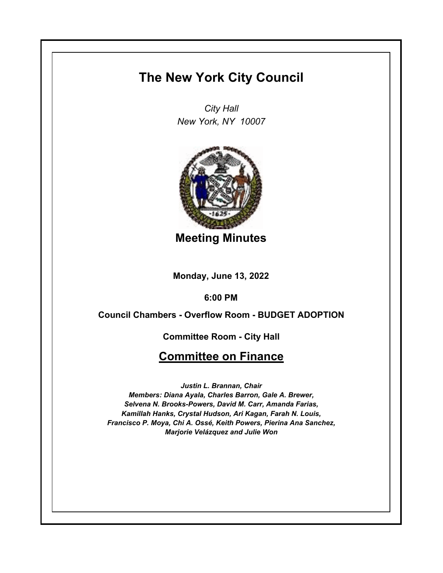# **The New York City Council**

*City Hall New York, NY 10007*



**Meeting Minutes**

**Monday, June 13, 2022**

**6:00 PM**

**Council Chambers - Overflow Room - BUDGET ADOPTION**

**Committee Room - City Hall**

# **Committee on Finance**

*Justin L. Brannan, Chair Members: Diana Ayala, Charles Barron, Gale A. Brewer, Selvena N. Brooks-Powers, David M. Carr, Amanda Farias, Kamillah Hanks, Crystal Hudson, Ari Kagan, Farah N. Louis, Francisco P. Moya, Chi A. Ossé, Keith Powers, Pierina Ana Sanchez, Marjorie Velázquez and Julie Won*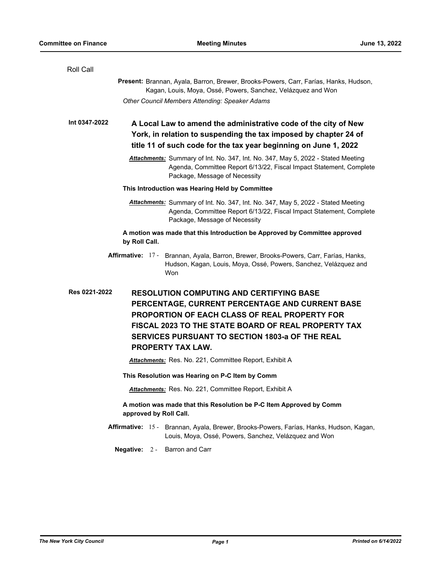| Roll Call                                                                                                                                                                                                                                                                                                                       |                                                                                                                                                                                                         |  |  |  |
|---------------------------------------------------------------------------------------------------------------------------------------------------------------------------------------------------------------------------------------------------------------------------------------------------------------------------------|---------------------------------------------------------------------------------------------------------------------------------------------------------------------------------------------------------|--|--|--|
|                                                                                                                                                                                                                                                                                                                                 | Present: Brannan, Ayala, Barron, Brewer, Brooks-Powers, Carr, Farías, Hanks, Hudson,<br>Kagan, Louis, Moya, Ossé, Powers, Sanchez, Velázquez and Won                                                    |  |  |  |
|                                                                                                                                                                                                                                                                                                                                 | Other Council Members Attending: Speaker Adams                                                                                                                                                          |  |  |  |
| Int 0347-2022                                                                                                                                                                                                                                                                                                                   | A Local Law to amend the administrative code of the city of New<br>York, in relation to suspending the tax imposed by chapter 24 of<br>title 11 of such code for the tax year beginning on June 1, 2022 |  |  |  |
|                                                                                                                                                                                                                                                                                                                                 | Attachments: Summary of Int. No. 347, Int. No. 347, May 5, 2022 - Stated Meeting<br>Agenda, Committee Report 6/13/22, Fiscal Impact Statement, Complete<br>Package, Message of Necessity                |  |  |  |
|                                                                                                                                                                                                                                                                                                                                 | This Introduction was Hearing Held by Committee                                                                                                                                                         |  |  |  |
|                                                                                                                                                                                                                                                                                                                                 | Attachments: Summary of Int. No. 347, Int. No. 347, May 5, 2022 - Stated Meeting<br>Agenda, Committee Report 6/13/22, Fiscal Impact Statement, Complete<br>Package, Message of Necessity                |  |  |  |
| A motion was made that this Introduction be Approved by Committee approved<br>by Roll Call.                                                                                                                                                                                                                                     |                                                                                                                                                                                                         |  |  |  |
|                                                                                                                                                                                                                                                                                                                                 | Affirmative: 17 - Brannan, Ayala, Barron, Brewer, Brooks-Powers, Carr, Farías, Hanks,<br>Hudson, Kagan, Louis, Moya, Ossé, Powers, Sanchez, Velázquez and<br>Won                                        |  |  |  |
| Res 0221-2022<br><b>RESOLUTION COMPUTING AND CERTIFYING BASE</b><br>PERCENTAGE, CURRENT PERCENTAGE AND CURRENT BASE<br><b>PROPORTION OF EACH CLASS OF REAL PROPERTY FOR</b><br><b>FISCAL 2023 TO THE STATE BOARD OF REAL PROPERTY TAX</b><br><b>SERVICES PURSUANT TO SECTION 1803-a OF THE REAL</b><br><b>PROPERTY TAX LAW.</b> |                                                                                                                                                                                                         |  |  |  |
|                                                                                                                                                                                                                                                                                                                                 | Attachments: Res. No. 221, Committee Report, Exhibit A                                                                                                                                                  |  |  |  |
|                                                                                                                                                                                                                                                                                                                                 | This Resolution was Hearing on P-C Item by Comm                                                                                                                                                         |  |  |  |
|                                                                                                                                                                                                                                                                                                                                 | <b>Attachments:</b> Res. No. 221, Committee Report, Exhibit A                                                                                                                                           |  |  |  |
| A motion was made that this Resolution be P-C Item Approved by Comm<br>approved by Roll Call.                                                                                                                                                                                                                                   |                                                                                                                                                                                                         |  |  |  |
|                                                                                                                                                                                                                                                                                                                                 | Affirmative: 15 - Brannan, Ayala, Brewer, Brooks-Powers, Farías, Hanks, Hudson, Kagan,<br>Louis, Moya, Ossé, Powers, Sanchez, Velázquez and Won                                                         |  |  |  |
|                                                                                                                                                                                                                                                                                                                                 | Negative: 2 - Barron and Carr                                                                                                                                                                           |  |  |  |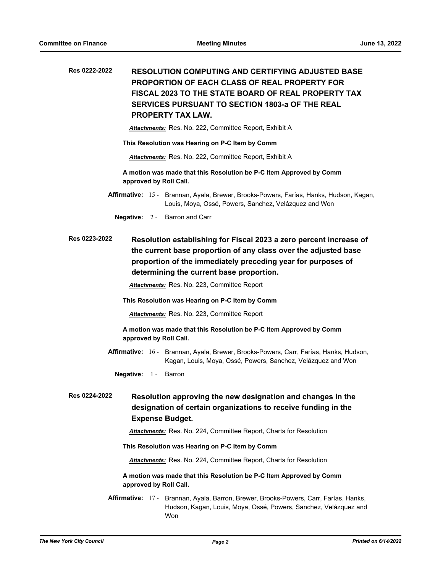## **RESOLUTION COMPUTING AND CERTIFYING ADJUSTED BASE PROPORTION OF EACH CLASS OF REAL PROPERTY FOR FISCAL 2023 TO THE STATE BOARD OF REAL PROPERTY TAX SERVICES PURSUANT TO SECTION 1803-a OF THE REAL PROPERTY TAX LAW. Res 0222-2022**

*Attachments:* Res. No. 222, Committee Report, Exhibit A

**This Resolution was Hearing on P-C Item by Comm**

*Attachments:* Res. No. 222, Committee Report, Exhibit A

**A motion was made that this Resolution be P-C Item Approved by Comm approved by Roll Call.**

Affirmative: 15 - Brannan, Ayala, Brewer, Brooks-Powers, Farías, Hanks, Hudson, Kagan, Louis, Moya, Ossé, Powers, Sanchez, Velázquez and Won

**Negative:** 2 - Barron and Carr

## **Resolution establishing for Fiscal 2023 a zero percent increase of the current base proportion of any class over the adjusted base proportion of the immediately preceding year for purposes of determining the current base proportion. Res 0223-2022**

*Attachments:* Res. No. 223, Committee Report

**This Resolution was Hearing on P-C Item by Comm**

*Attachments:* Res. No. 223, Committee Report

**A motion was made that this Resolution be P-C Item Approved by Comm approved by Roll Call.**

Affirmative: 16 - Brannan, Ayala, Brewer, Brooks-Powers, Carr, Farías, Hanks, Hudson, Kagan, Louis, Moya, Ossé, Powers, Sanchez, Velázquez and Won

**Negative:** 1 - Barron

**Resolution approving the new designation and changes in the designation of certain organizations to receive funding in the Expense Budget. Res 0224-2022**

*Attachments:* Res. No. 224, Committee Report, Charts for Resolution

**This Resolution was Hearing on P-C Item by Comm**

*Attachments:* Res. No. 224, Committee Report, Charts for Resolution

**A motion was made that this Resolution be P-C Item Approved by Comm approved by Roll Call.**

Affirmative: 17 - Brannan, Ayala, Barron, Brewer, Brooks-Powers, Carr, Farías, Hanks, Hudson, Kagan, Louis, Moya, Ossé, Powers, Sanchez, Velázquez and Won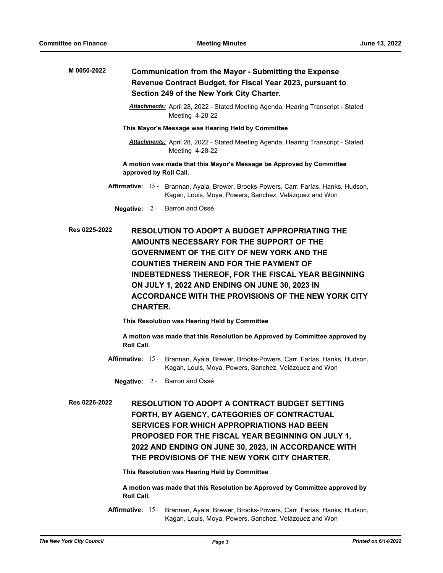#### **Communication from the Mayor - Submitting the Expense Revenue Contract Budget, for Fiscal Year 2023, pursuant to Section 249 of the New York City Charter. M 0050-2022**

*Attachments:* April 28, 2022 - Stated Meeting Agenda, Hearing Transcript - Stated Meeting 4-28-22

**This Mayor's Message was Hearing Held by Committee**

*Attachments:* April 28, 2022 - Stated Meeting Agenda, Hearing Transcript - Stated Meeting 4-28-22

**A motion was made that this Mayor's Message be Approved by Committee approved by Roll Call.**

Affirmative: 15 - Brannan, Ayala, Brewer, Brooks-Powers, Carr, Farías, Hanks, Hudson, Kagan, Louis, Moya, Powers, Sanchez, Velázquez and Won

**Negative:** 2 - Barron and Ossé

**RESOLUTION TO ADOPT A BUDGET APPROPRIATING THE AMOUNTS NECESSARY FOR THE SUPPORT OF THE GOVERNMENT OF THE CITY OF NEW YORK AND THE COUNTIES THEREIN AND FOR THE PAYMENT OF INDEBTEDNESS THEREOF, FOR THE FISCAL YEAR BEGINNING ON JULY 1, 2022 AND ENDING ON JUNE 30, 2023 IN ACCORDANCE WITH THE PROVISIONS OF THE NEW YORK CITY CHARTER. Res 0225-2022**

**This Resolution was Hearing Held by Committee**

**A motion was made that this Resolution be Approved by Committee approved by Roll Call.**

- Affirmative: 15 Brannan, Ayala, Brewer, Brooks-Powers, Carr, Farías, Hanks, Hudson, Kagan, Louis, Moya, Powers, Sanchez, Velázquez and Won
	- **Negative:** 2 Barron and Ossé

**RESOLUTION TO ADOPT A CONTRACT BUDGET SETTING FORTH, BY AGENCY, CATEGORIES OF CONTRACTUAL SERVICES FOR WHICH APPROPRIATIONS HAD BEEN PROPOSED FOR THE FISCAL YEAR BEGINNING ON JULY 1, 2022 AND ENDING ON JUNE 30, 2023, IN ACCORDANCE WITH THE PROVISIONS OF THE NEW YORK CITY CHARTER. Res 0226-2022**

**This Resolution was Hearing Held by Committee**

**A motion was made that this Resolution be Approved by Committee approved by Roll Call.**

Affirmative: 15 - Brannan, Ayala, Brewer, Brooks-Powers, Carr, Farías, Hanks, Hudson, Kagan, Louis, Moya, Powers, Sanchez, Velázquez and Won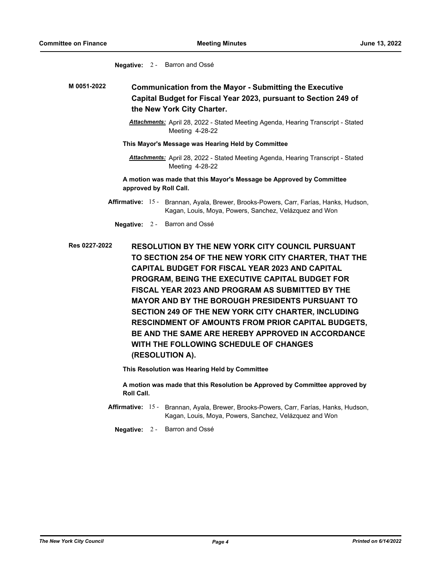**Negative:** 2 - Barron and Ossé

**Communication from the Mayor - Submitting the Executive Capital Budget for Fiscal Year 2023, pursuant to Section 249 of the New York City Charter. M 0051-2022**

- *Attachments:* April 28, 2022 Stated Meeting Agenda, Hearing Transcript Stated Meeting 4-28-22
- **This Mayor's Message was Hearing Held by Committee**
	- *Attachments:* April 28, 2022 Stated Meeting Agenda, Hearing Transcript Stated Meeting 4-28-22

**A motion was made that this Mayor's Message be Approved by Committee approved by Roll Call.**

- Affirmative: 15 Brannan, Ayala, Brewer, Brooks-Powers, Carr, Farías, Hanks, Hudson, Kagan, Louis, Moya, Powers, Sanchez, Velázquez and Won
	- **Negative:** 2 Barron and Ossé

**RESOLUTION BY THE NEW YORK CITY COUNCIL PURSUANT TO SECTION 254 OF THE NEW YORK CITY CHARTER, THAT THE CAPITAL BUDGET FOR FISCAL YEAR 2023 AND CAPITAL PROGRAM, BEING THE EXECUTIVE CAPITAL BUDGET FOR FISCAL YEAR 2023 AND PROGRAM AS SUBMITTED BY THE MAYOR AND BY THE BOROUGH PRESIDENTS PURSUANT TO SECTION 249 OF THE NEW YORK CITY CHARTER, INCLUDING RESCINDMENT OF AMOUNTS FROM PRIOR CAPITAL BUDGETS, BE AND THE SAME ARE HEREBY APPROVED IN ACCORDANCE WITH THE FOLLOWING SCHEDULE OF CHANGES (RESOLUTION A). Res 0227-2022**

**This Resolution was Hearing Held by Committee**

**A motion was made that this Resolution be Approved by Committee approved by Roll Call.**

- Affirmative: 15 Brannan, Ayala, Brewer, Brooks-Powers, Carr, Farías, Hanks, Hudson, Kagan, Louis, Moya, Powers, Sanchez, Velázquez and Won
	- **Negative:** 2 Barron and Ossé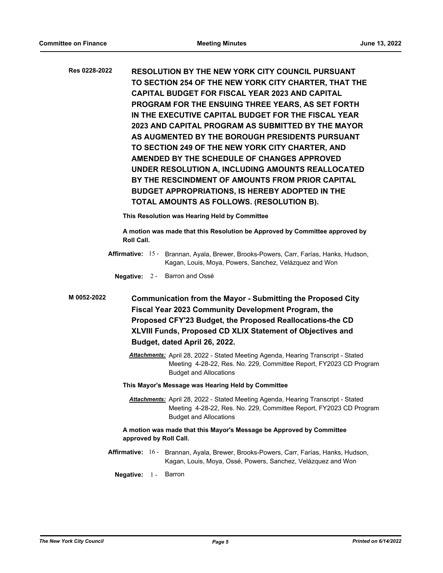**RESOLUTION BY THE NEW YORK CITY COUNCIL PURSUANT TO SECTION 254 OF THE NEW YORK CITY CHARTER, THAT THE CAPITAL BUDGET FOR FISCAL YEAR 2023 AND CAPITAL PROGRAM FOR THE ENSUING THREE YEARS, AS SET FORTH IN THE EXECUTIVE CAPITAL BUDGET FOR THE FISCAL YEAR 2023 AND CAPITAL PROGRAM AS SUBMITTED BY THE MAYOR AS AUGMENTED BY THE BOROUGH PRESIDENTS PURSUANT TO SECTION 249 OF THE NEW YORK CITY CHARTER, AND AMENDED BY THE SCHEDULE OF CHANGES APPROVED UNDER RESOLUTION A, INCLUDING AMOUNTS REALLOCATED BY THE RESCINDMENT OF AMOUNTS FROM PRIOR CAPITAL BUDGET APPROPRIATIONS, IS HEREBY ADOPTED IN THE TOTAL AMOUNTS AS FOLLOWS. (RESOLUTION B). Res 0228-2022**

**This Resolution was Hearing Held by Committee**

**A motion was made that this Resolution be Approved by Committee approved by Roll Call.**

- Affirmative: 15 Brannan, Ayala, Brewer, Brooks-Powers, Carr, Farías, Hanks, Hudson, Kagan, Louis, Moya, Powers, Sanchez, Velázquez and Won
	- **Negative:** 2 Barron and Ossé

**Communication from the Mayor - Submitting the Proposed City Fiscal Year 2023 Community Development Program, the Proposed CFY'23 Budget, the Proposed Reallocations-the CD XLVIII Funds, Proposed CD XLIX Statement of Objectives and Budget, dated April 26, 2022. M 0052-2022**

> *Attachments:* April 28, 2022 - Stated Meeting Agenda, Hearing Transcript - Stated Meeting 4-28-22, Res. No. 229, Committee Report, FY2023 CD Program Budget and Allocations

## **This Mayor's Message was Hearing Held by Committee**

*Attachments:* April 28, 2022 - Stated Meeting Agenda, Hearing Transcript - Stated Meeting 4-28-22, Res. No. 229, Committee Report, FY2023 CD Program Budget and Allocations

## **A motion was made that this Mayor's Message be Approved by Committee approved by Roll Call.**

Affirmative: 16 - Brannan, Ayala, Brewer, Brooks-Powers, Carr, Farías, Hanks, Hudson, Kagan, Louis, Moya, Ossé, Powers, Sanchez, Velázquez and Won

## **Negative:** 1 - Barron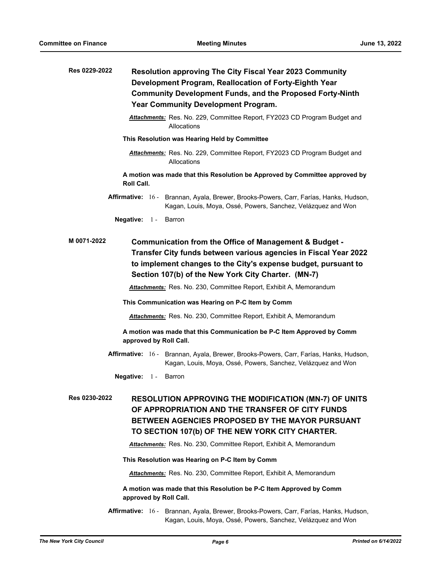| Res 0229-2022                                                                                                                                                                                                                          | <b>Resolution approving The City Fiscal Year 2023 Community</b><br>Development Program, Reallocation of Forty-Eighth Year<br><b>Community Development Funds, and the Proposed Forty-Ninth</b><br><b>Year Community Development Program.</b>                                                                               |  |  |
|----------------------------------------------------------------------------------------------------------------------------------------------------------------------------------------------------------------------------------------|---------------------------------------------------------------------------------------------------------------------------------------------------------------------------------------------------------------------------------------------------------------------------------------------------------------------------|--|--|
|                                                                                                                                                                                                                                        | Attachments: Res. No. 229, Committee Report, FY2023 CD Program Budget and<br>Allocations                                                                                                                                                                                                                                  |  |  |
|                                                                                                                                                                                                                                        | This Resolution was Hearing Held by Committee                                                                                                                                                                                                                                                                             |  |  |
|                                                                                                                                                                                                                                        | Attachments: Res. No. 229, Committee Report, FY2023 CD Program Budget and<br>Allocations                                                                                                                                                                                                                                  |  |  |
| <b>Roll Call.</b>                                                                                                                                                                                                                      | A motion was made that this Resolution be Approved by Committee approved by                                                                                                                                                                                                                                               |  |  |
|                                                                                                                                                                                                                                        | Affirmative: 16 - Brannan, Ayala, Brewer, Brooks-Powers, Carr, Farías, Hanks, Hudson,<br>Kagan, Louis, Moya, Ossé, Powers, Sanchez, Velázquez and Won                                                                                                                                                                     |  |  |
|                                                                                                                                                                                                                                        | Negative: 1 - Barron                                                                                                                                                                                                                                                                                                      |  |  |
| M 0071-2022                                                                                                                                                                                                                            | Communication from the Office of Management & Budget -<br>Transfer City funds between various agencies in Fiscal Year 2022<br>to implement changes to the City's expense budget, pursuant to<br>Section 107(b) of the New York City Charter. (MN-7)<br>Attachments: Res. No. 230, Committee Report, Exhibit A, Memorandum |  |  |
|                                                                                                                                                                                                                                        | This Communication was Hearing on P-C Item by Comm                                                                                                                                                                                                                                                                        |  |  |
|                                                                                                                                                                                                                                        | Attachments: Res. No. 230, Committee Report, Exhibit A, Memorandum                                                                                                                                                                                                                                                        |  |  |
|                                                                                                                                                                                                                                        | A motion was made that this Communication be P-C Item Approved by Comm<br>approved by Roll Call.                                                                                                                                                                                                                          |  |  |
|                                                                                                                                                                                                                                        | Affirmative: 16 - Brannan, Ayala, Brewer, Brooks-Powers, Carr, Farías, Hanks, Hudson,<br>Kagan, Louis, Moya, Ossé, Powers, Sanchez, Velázquez and Won                                                                                                                                                                     |  |  |
| Negative:                                                                                                                                                                                                                              | 1 - Barron                                                                                                                                                                                                                                                                                                                |  |  |
| Res 0230-2022<br><b>RESOLUTION APPROVING THE MODIFICATION (MN-7) OF UNITS</b><br>OF APPROPRIATION AND THE TRANSFER OF CITY FUNDS<br>BETWEEN AGENCIES PROPOSED BY THE MAYOR PURSUANT<br>TO SECTION 107(b) OF THE NEW YORK CITY CHARTER. |                                                                                                                                                                                                                                                                                                                           |  |  |
|                                                                                                                                                                                                                                        | <b>Attachments:</b> Res. No. 230, Committee Report, Exhibit A, Memorandum                                                                                                                                                                                                                                                 |  |  |
|                                                                                                                                                                                                                                        | This Resolution was Hearing on P-C Item by Comm                                                                                                                                                                                                                                                                           |  |  |
|                                                                                                                                                                                                                                        | <b>Attachments:</b> Res. No. 230, Committee Report, Exhibit A, Memorandum                                                                                                                                                                                                                                                 |  |  |
|                                                                                                                                                                                                                                        | A motion was made that this Resolution be P-C Item Approved by Comm<br>approved by Roll Call.                                                                                                                                                                                                                             |  |  |
|                                                                                                                                                                                                                                        | Affirmative: 16 - Brannan, Ayala, Brewer, Brooks-Powers, Carr, Farías, Hanks, Hudson,<br>Kagan, Louis, Moya, Ossé, Powers, Sanchez, Velázquez and Won                                                                                                                                                                     |  |  |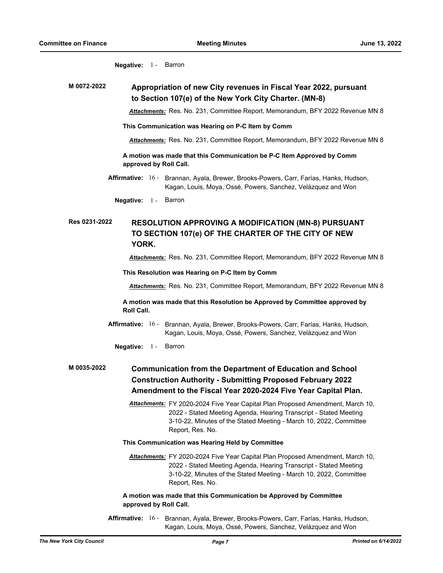#### **Negative:** 1 - Barron

#### **Appropriation of new City revenues in Fiscal Year 2022, pursuant to Section 107(e) of the New York City Charter. (MN-8) M 0072-2022**

*Attachments:* Res. No. 231, Committee Report, Memorandum, BFY 2022 Revenue MN 8

**This Communication was Hearing on P-C Item by Comm**

*Attachments:* Res. No. 231, Committee Report, Memorandum, BFY 2022 Revenue MN 8

## **A motion was made that this Communication be P-C Item Approved by Comm approved by Roll Call.**

Affirmative: 16 - Brannan, Ayala, Brewer, Brooks-Powers, Carr, Farías, Hanks, Hudson, Kagan, Louis, Moya, Ossé, Powers, Sanchez, Velázquez and Won

**Negative:** 1 - Barron

#### **RESOLUTION APPROVING A MODIFICATION (MN-8) PURSUANT TO SECTION 107(e) OF THE CHARTER OF THE CITY OF NEW YORK. Res 0231-2022**

*Attachments:* Res. No. 231, Committee Report, Memorandum, BFY 2022 Revenue MN 8

#### **This Resolution was Hearing on P-C Item by Comm**

*Attachments:* Res. No. 231, Committee Report, Memorandum, BFY 2022 Revenue MN 8

## **A motion was made that this Resolution be Approved by Committee approved by Roll Call.**

- Affirmative: 16 Brannan, Ayala, Brewer, Brooks-Powers, Carr, Farías, Hanks, Hudson, Kagan, Louis, Moya, Ossé, Powers, Sanchez, Velázquez and Won
	- **Negative:** 1 Barron

#### **Communication from the Department of Education and School Construction Authority - Submitting Proposed February 2022 Amendment to the Fiscal Year 2020-2024 Five Year Capital Plan. M 0035-2022**

*Attachments:* FY 2020-2024 Five Year Capital Plan Proposed Amendment, March 10, 2022 - Stated Meeting Agenda, Hearing Transcript - Stated Meeting 3-10-22, Minutes of the Stated Meeting - March 10, 2022, Committee Report, Res. No.

#### **This Communication was Hearing Held by Committee**

*Attachments:* FY 2020-2024 Five Year Capital Plan Proposed Amendment, March 10, 2022 - Stated Meeting Agenda, Hearing Transcript - Stated Meeting 3-10-22, Minutes of the Stated Meeting - March 10, 2022, Committee Report, Res. No.

## **A motion was made that this Communication be Approved by Committee approved by Roll Call.**

Affirmative: 16 - Brannan, Ayala, Brewer, Brooks-Powers, Carr, Farías, Hanks, Hudson, Kagan, Louis, Moya, Ossé, Powers, Sanchez, Velázquez and Won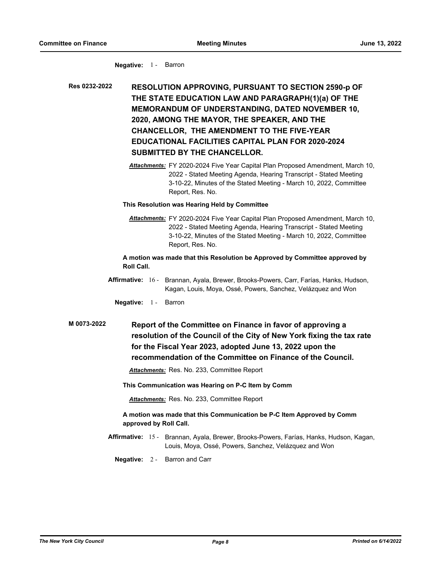#### **Negative:** 1 - Barron

# **RESOLUTION APPROVING, PURSUANT TO SECTION 2590-p OF THE STATE EDUCATION LAW AND PARAGRAPH(1)(a) OF THE MEMORANDUM OF UNDERSTANDING, DATED NOVEMBER 10, 2020, AMONG THE MAYOR, THE SPEAKER, AND THE CHANCELLOR, THE AMENDMENT TO THE FIVE-YEAR EDUCATIONAL FACILITIES CAPITAL PLAN FOR 2020-2024 SUBMITTED BY THE CHANCELLOR. Res 0232-2022**

*Attachments:* FY 2020-2024 Five Year Capital Plan Proposed Amendment, March 10, 2022 - Stated Meeting Agenda, Hearing Transcript - Stated Meeting 3-10-22, Minutes of the Stated Meeting - March 10, 2022, Committee Report, Res. No.

#### **This Resolution was Hearing Held by Committee**

*Attachments:* FY 2020-2024 Five Year Capital Plan Proposed Amendment, March 10, 2022 - Stated Meeting Agenda, Hearing Transcript - Stated Meeting 3-10-22, Minutes of the Stated Meeting - March 10, 2022, Committee Report, Res. No.

## **A motion was made that this Resolution be Approved by Committee approved by Roll Call.**

- Affirmative: 16 Brannan, Ayala, Brewer, Brooks-Powers, Carr, Farías, Hanks, Hudson, Kagan, Louis, Moya, Ossé, Powers, Sanchez, Velázquez and Won
	- **Negative:** 1 Barron

## **Report of the Committee on Finance in favor of approving a resolution of the Council of the City of New York fixing the tax rate for the Fiscal Year 2023, adopted June 13, 2022 upon the recommendation of the Committee on Finance of the Council. M 0073-2022**

*Attachments:* Res. No. 233, Committee Report

## **This Communication was Hearing on P-C Item by Comm**

*Attachments:* Res. No. 233, Committee Report

## **A motion was made that this Communication be P-C Item Approved by Comm approved by Roll Call.**

- Affirmative: 15 Brannan, Ayala, Brewer, Brooks-Powers, Farías, Hanks, Hudson, Kagan, Louis, Moya, Ossé, Powers, Sanchez, Velázquez and Won
	- **Negative:** 2 Barron and Carr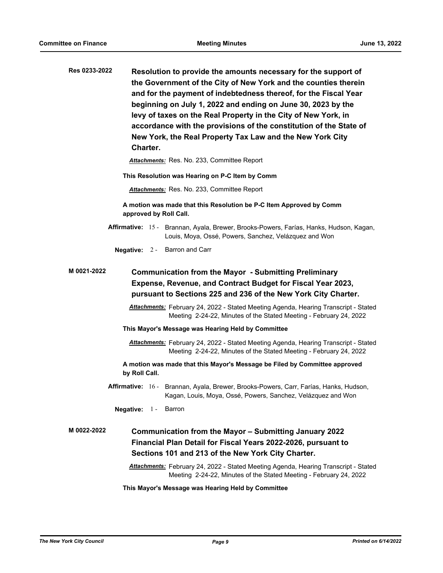| Res 0233-2022                                                                                                                                                                                                | Resolution to provide the amounts necessary for the support of<br>the Government of the City of New York and the counties therein<br>and for the payment of indebtedness thereof, for the Fiscal Year<br>beginning on July 1, 2022 and ending on June 30, 2023 by the<br>levy of taxes on the Real Property in the City of New York, in<br>accordance with the provisions of the constitution of the State of<br>New York, the Real Property Tax Law and the New York City<br>Charter. |  |  |
|--------------------------------------------------------------------------------------------------------------------------------------------------------------------------------------------------------------|----------------------------------------------------------------------------------------------------------------------------------------------------------------------------------------------------------------------------------------------------------------------------------------------------------------------------------------------------------------------------------------------------------------------------------------------------------------------------------------|--|--|
|                                                                                                                                                                                                              | <b>Attachments:</b> Res. No. 233, Committee Report                                                                                                                                                                                                                                                                                                                                                                                                                                     |  |  |
| This Resolution was Hearing on P-C Item by Comm                                                                                                                                                              |                                                                                                                                                                                                                                                                                                                                                                                                                                                                                        |  |  |
|                                                                                                                                                                                                              | <b>Attachments:</b> Res. No. 233, Committee Report                                                                                                                                                                                                                                                                                                                                                                                                                                     |  |  |
|                                                                                                                                                                                                              | A motion was made that this Resolution be P-C Item Approved by Comm<br>approved by Roll Call.                                                                                                                                                                                                                                                                                                                                                                                          |  |  |
|                                                                                                                                                                                                              | Affirmative: 15 - Brannan, Ayala, Brewer, Brooks-Powers, Farías, Hanks, Hudson, Kagan,<br>Louis, Moya, Ossé, Powers, Sanchez, Velázquez and Won                                                                                                                                                                                                                                                                                                                                        |  |  |
|                                                                                                                                                                                                              | Negative: 2 - Barron and Carr                                                                                                                                                                                                                                                                                                                                                                                                                                                          |  |  |
| M 0021-2022<br><b>Communication from the Mayor - Submitting Preliminary</b><br>Expense, Revenue, and Contract Budget for Fiscal Year 2023,<br>pursuant to Sections 225 and 236 of the New York City Charter. |                                                                                                                                                                                                                                                                                                                                                                                                                                                                                        |  |  |
|                                                                                                                                                                                                              | <b>Attachments:</b> February 24, 2022 - Stated Meeting Agenda, Hearing Transcript - Stated<br>Meeting 2-24-22, Minutes of the Stated Meeting - February 24, 2022                                                                                                                                                                                                                                                                                                                       |  |  |
|                                                                                                                                                                                                              | This Mayor's Message was Hearing Held by Committee                                                                                                                                                                                                                                                                                                                                                                                                                                     |  |  |
|                                                                                                                                                                                                              | <b>Attachments:</b> February 24, 2022 - Stated Meeting Agenda, Hearing Transcript - Stated<br>Meeting 2-24-22, Minutes of the Stated Meeting - February 24, 2022                                                                                                                                                                                                                                                                                                                       |  |  |
| A motion was made that this Mayor's Message be Filed by Committee approved<br>by Roll Call.                                                                                                                  |                                                                                                                                                                                                                                                                                                                                                                                                                                                                                        |  |  |
|                                                                                                                                                                                                              | Affirmative: 16 - Brannan, Ayala, Brewer, Brooks-Powers, Carr, Farías, Hanks, Hudson,<br>Kagan, Louis, Moya, Ossé, Powers, Sanchez, Velázquez and Won                                                                                                                                                                                                                                                                                                                                  |  |  |
|                                                                                                                                                                                                              | Negative: $1 -$<br>Barron                                                                                                                                                                                                                                                                                                                                                                                                                                                              |  |  |
| M 0022-2022                                                                                                                                                                                                  | Communication from the Mayor - Submitting January 2022<br>Financial Plan Detail for Fiscal Years 2022-2026, pursuant to<br>Sections 101 and 213 of the New York City Charter.                                                                                                                                                                                                                                                                                                          |  |  |
|                                                                                                                                                                                                              | <b>Attachments:</b> February 24, 2022 - Stated Meeting Agenda, Hearing Transcript - Stated<br>Meeting 2-24-22, Minutes of the Stated Meeting - February 24, 2022                                                                                                                                                                                                                                                                                                                       |  |  |

**This Mayor's Message was Hearing Held by Committee**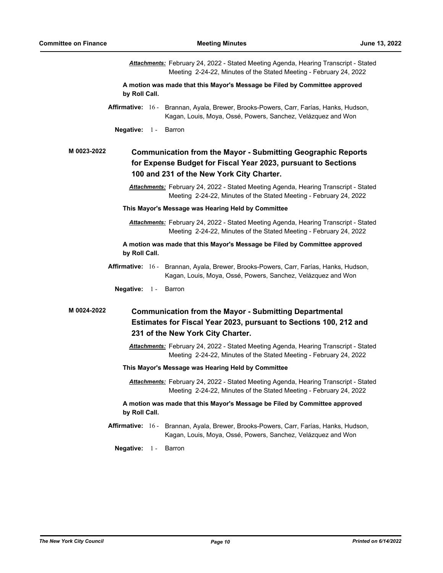*Attachments:* February 24, 2022 - Stated Meeting Agenda, Hearing Transcript - Stated Meeting 2-24-22, Minutes of the Stated Meeting - February 24, 2022

**A motion was made that this Mayor's Message be Filed by Committee approved by Roll Call.**

- Affirmative: 16 Brannan, Ayala, Brewer, Brooks-Powers, Carr, Farías, Hanks, Hudson, Kagan, Louis, Moya, Ossé, Powers, Sanchez, Velázquez and Won
	- **Negative:** 1 Barron

#### **Communication from the Mayor - Submitting Geographic Reports for Expense Budget for Fiscal Year 2023, pursuant to Sections 100 and 231 of the New York City Charter. M 0023-2022**

*Attachments:* February 24, 2022 - Stated Meeting Agenda, Hearing Transcript - Stated Meeting 2-24-22, Minutes of the Stated Meeting - February 24, 2022

#### **This Mayor's Message was Hearing Held by Committee**

*Attachments:* February 24, 2022 - Stated Meeting Agenda, Hearing Transcript - Stated Meeting 2-24-22, Minutes of the Stated Meeting - February 24, 2022

## **A motion was made that this Mayor's Message be Filed by Committee approved by Roll Call.**

- Affirmative: 16 Brannan, Ayala, Brewer, Brooks-Powers, Carr, Farías, Hanks, Hudson, Kagan, Louis, Moya, Ossé, Powers, Sanchez, Velázquez and Won
	- **Negative:** 1 Barron

## **Communication from the Mayor - Submitting Departmental Estimates for Fiscal Year 2023, pursuant to Sections 100, 212 and 231 of the New York City Charter. M 0024-2022**

- *Attachments:* February 24, 2022 Stated Meeting Agenda, Hearing Transcript Stated Meeting 2-24-22, Minutes of the Stated Meeting - February 24, 2022
- **This Mayor's Message was Hearing Held by Committee**
	- *Attachments:* February 24, 2022 Stated Meeting Agenda, Hearing Transcript Stated Meeting 2-24-22, Minutes of the Stated Meeting - February 24, 2022

## **A motion was made that this Mayor's Message be Filed by Committee approved by Roll Call.**

- **Affirmative:** Brannan, Ayala, Brewer, Brooks-Powers, Carr, Farías, Hanks, Hudson, Kagan, Louis, Moya, Ossé, Powers, Sanchez, Velázquez and Won Affirmative: 16 -
	- **Negative:** 1 Barron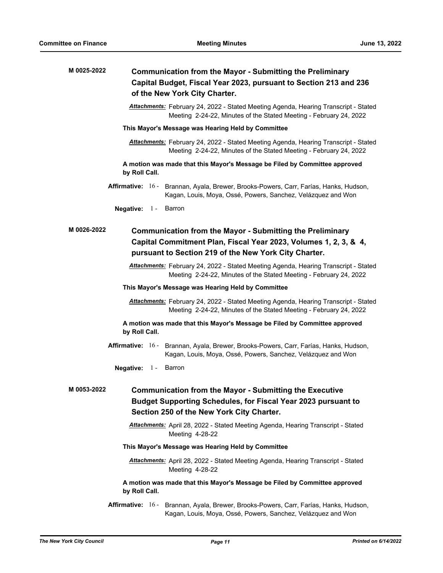| M 0025-2022                                                                                                                                                                                                  | <b>Communication from the Mayor - Submitting the Preliminary</b><br>Capital Budget, Fiscal Year 2023, pursuant to Section 213 and 236<br>of the New York City Charter. |  |  |  |
|--------------------------------------------------------------------------------------------------------------------------------------------------------------------------------------------------------------|------------------------------------------------------------------------------------------------------------------------------------------------------------------------|--|--|--|
|                                                                                                                                                                                                              | <b>Attachments:</b> February 24, 2022 - Stated Meeting Agenda, Hearing Transcript - Stated<br>Meeting 2-24-22, Minutes of the Stated Meeting - February 24, 2022       |  |  |  |
|                                                                                                                                                                                                              | This Mayor's Message was Hearing Held by Committee                                                                                                                     |  |  |  |
|                                                                                                                                                                                                              | <b>Attachments:</b> February 24, 2022 - Stated Meeting Agenda, Hearing Transcript - Stated<br>Meeting 2-24-22, Minutes of the Stated Meeting - February 24, 2022       |  |  |  |
| by Roll Call.                                                                                                                                                                                                | A motion was made that this Mayor's Message be Filed by Committee approved                                                                                             |  |  |  |
|                                                                                                                                                                                                              | Affirmative: 16 - Brannan, Ayala, Brewer, Brooks-Powers, Carr, Farías, Hanks, Hudson,<br>Kagan, Louis, Moya, Ossé, Powers, Sanchez, Velázquez and Won                  |  |  |  |
|                                                                                                                                                                                                              | Negative: 1 - Barron                                                                                                                                                   |  |  |  |
| M 0026-2022<br><b>Communication from the Mayor - Submitting the Preliminary</b><br>Capital Commitment Plan, Fiscal Year 2023, Volumes 1, 2, 3, & 4,<br>pursuant to Section 219 of the New York City Charter. |                                                                                                                                                                        |  |  |  |
|                                                                                                                                                                                                              | <b>Attachments:</b> February 24, 2022 - Stated Meeting Agenda, Hearing Transcript - Stated<br>Meeting 2-24-22, Minutes of the Stated Meeting - February 24, 2022       |  |  |  |
|                                                                                                                                                                                                              | This Mayor's Message was Hearing Held by Committee                                                                                                                     |  |  |  |
|                                                                                                                                                                                                              | <b>Attachments:</b> February 24, 2022 - Stated Meeting Agenda, Hearing Transcript - Stated<br>Meeting 2-24-22, Minutes of the Stated Meeting - February 24, 2022       |  |  |  |
| by Roll Call.                                                                                                                                                                                                | A motion was made that this Mayor's Message be Filed by Committee approved                                                                                             |  |  |  |
|                                                                                                                                                                                                              | Affirmative: 16 - Brannan, Ayala, Brewer, Brooks-Powers, Carr, Farías, Hanks, Hudson,<br>Kagan, Louis, Moya, Ossé, Powers, Sanchez, Velázquez and Won                  |  |  |  |
|                                                                                                                                                                                                              | Negative: 1 - Barron                                                                                                                                                   |  |  |  |
| M 0053-2022<br><b>Communication from the Mayor - Submitting the Executive</b><br><b>Budget Supporting Schedules, for Fiscal Year 2023 pursuant to</b><br>Section 250 of the New York City Charter.           |                                                                                                                                                                        |  |  |  |
|                                                                                                                                                                                                              | Attachments: April 28, 2022 - Stated Meeting Agenda, Hearing Transcript - Stated<br>Meeting $4-28-22$                                                                  |  |  |  |
|                                                                                                                                                                                                              | This Mayor's Message was Hearing Held by Committee                                                                                                                     |  |  |  |
|                                                                                                                                                                                                              | Attachments: April 28, 2022 - Stated Meeting Agenda, Hearing Transcript - Stated<br>Meeting 4-28-22                                                                    |  |  |  |
| by Roll Call.                                                                                                                                                                                                | A motion was made that this Mayor's Message be Filed by Committee approved                                                                                             |  |  |  |
|                                                                                                                                                                                                              |                                                                                                                                                                        |  |  |  |

Affirmative: 16 - Brannan, Ayala, Brewer, Brooks-Powers, Carr, Farías, Hanks, Hudson, Kagan, Louis, Moya, Ossé, Powers, Sanchez, Velázquez and Won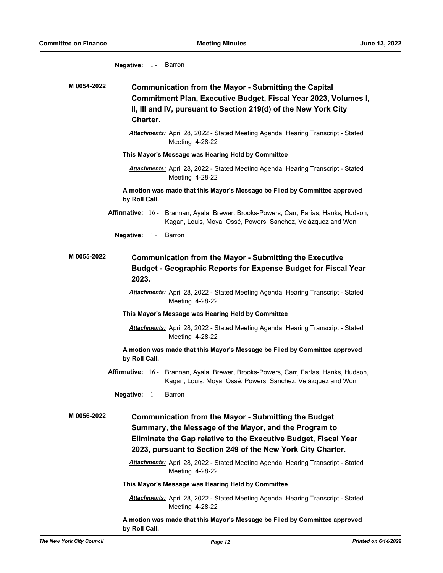|                                                                                                                                                                 | Negative: 1 - Barron                                                                                                                                                                                           |  |                                                                                                                                                                                                                                                        |  |  |  |
|-----------------------------------------------------------------------------------------------------------------------------------------------------------------|----------------------------------------------------------------------------------------------------------------------------------------------------------------------------------------------------------------|--|--------------------------------------------------------------------------------------------------------------------------------------------------------------------------------------------------------------------------------------------------------|--|--|--|
| M 0054-2022                                                                                                                                                     | <b>Communication from the Mayor - Submitting the Capital</b><br>Commitment Plan, Executive Budget, Fiscal Year 2023, Volumes I,<br>II, III and IV, pursuant to Section 219(d) of the New York City<br>Charter. |  |                                                                                                                                                                                                                                                        |  |  |  |
|                                                                                                                                                                 |                                                                                                                                                                                                                |  | Attachments: April 28, 2022 - Stated Meeting Agenda, Hearing Transcript - Stated<br>Meeting 4-28-22                                                                                                                                                    |  |  |  |
|                                                                                                                                                                 |                                                                                                                                                                                                                |  | This Mayor's Message was Hearing Held by Committee                                                                                                                                                                                                     |  |  |  |
|                                                                                                                                                                 |                                                                                                                                                                                                                |  | Attachments: April 28, 2022 - Stated Meeting Agenda, Hearing Transcript - Stated<br>Meeting 4-28-22                                                                                                                                                    |  |  |  |
| A motion was made that this Mayor's Message be Filed by Committee approved<br>by Roll Call.                                                                     |                                                                                                                                                                                                                |  |                                                                                                                                                                                                                                                        |  |  |  |
|                                                                                                                                                                 |                                                                                                                                                                                                                |  | Affirmative: 16 - Brannan, Ayala, Brewer, Brooks-Powers, Carr, Farías, Hanks, Hudson,<br>Kagan, Louis, Moya, Ossé, Powers, Sanchez, Velázquez and Won                                                                                                  |  |  |  |
|                                                                                                                                                                 | Negative: 1 - Barron                                                                                                                                                                                           |  |                                                                                                                                                                                                                                                        |  |  |  |
| M 0055-2022<br><b>Communication from the Mayor - Submitting the Executive</b><br><b>Budget - Geographic Reports for Expense Budget for Fiscal Year</b><br>2023. |                                                                                                                                                                                                                |  |                                                                                                                                                                                                                                                        |  |  |  |
|                                                                                                                                                                 |                                                                                                                                                                                                                |  | Attachments: April 28, 2022 - Stated Meeting Agenda, Hearing Transcript - Stated<br>Meeting 4-28-22                                                                                                                                                    |  |  |  |
|                                                                                                                                                                 |                                                                                                                                                                                                                |  | This Mayor's Message was Hearing Held by Committee                                                                                                                                                                                                     |  |  |  |
|                                                                                                                                                                 |                                                                                                                                                                                                                |  | Attachments: April 28, 2022 - Stated Meeting Agenda, Hearing Transcript - Stated<br>Meeting 4-28-22                                                                                                                                                    |  |  |  |
|                                                                                                                                                                 | by Roll Call.                                                                                                                                                                                                  |  | A motion was made that this Mayor's Message be Filed by Committee approved                                                                                                                                                                             |  |  |  |
|                                                                                                                                                                 |                                                                                                                                                                                                                |  | Affirmative: 16 - Brannan, Ayala, Brewer, Brooks-Powers, Carr, Farías, Hanks, Hudson,<br>Kagan, Louis, Moya, Ossé, Powers, Sanchez, Velázquez and Won                                                                                                  |  |  |  |
|                                                                                                                                                                 | Negative: 1 - Barron                                                                                                                                                                                           |  |                                                                                                                                                                                                                                                        |  |  |  |
| M 0056-2022                                                                                                                                                     |                                                                                                                                                                                                                |  | <b>Communication from the Mayor - Submitting the Budget</b><br>Summary, the Message of the Mayor, and the Program to<br>Eliminate the Gap relative to the Executive Budget, Fiscal Year<br>2023, pursuant to Section 249 of the New York City Charter. |  |  |  |
|                                                                                                                                                                 |                                                                                                                                                                                                                |  | Attachments: April 28, 2022 - Stated Meeting Agenda, Hearing Transcript - Stated<br>Meeting 4-28-22                                                                                                                                                    |  |  |  |
|                                                                                                                                                                 |                                                                                                                                                                                                                |  | This Mayor's Message was Hearing Held by Committee                                                                                                                                                                                                     |  |  |  |
|                                                                                                                                                                 |                                                                                                                                                                                                                |  | Attachments: April 28, 2022 - Stated Meeting Agenda, Hearing Transcript - Stated<br>Meeting 4-28-22                                                                                                                                                    |  |  |  |
|                                                                                                                                                                 |                                                                                                                                                                                                                |  |                                                                                                                                                                                                                                                        |  |  |  |

**A motion was made that this Mayor's Message be Filed by Committee approved by Roll Call.**